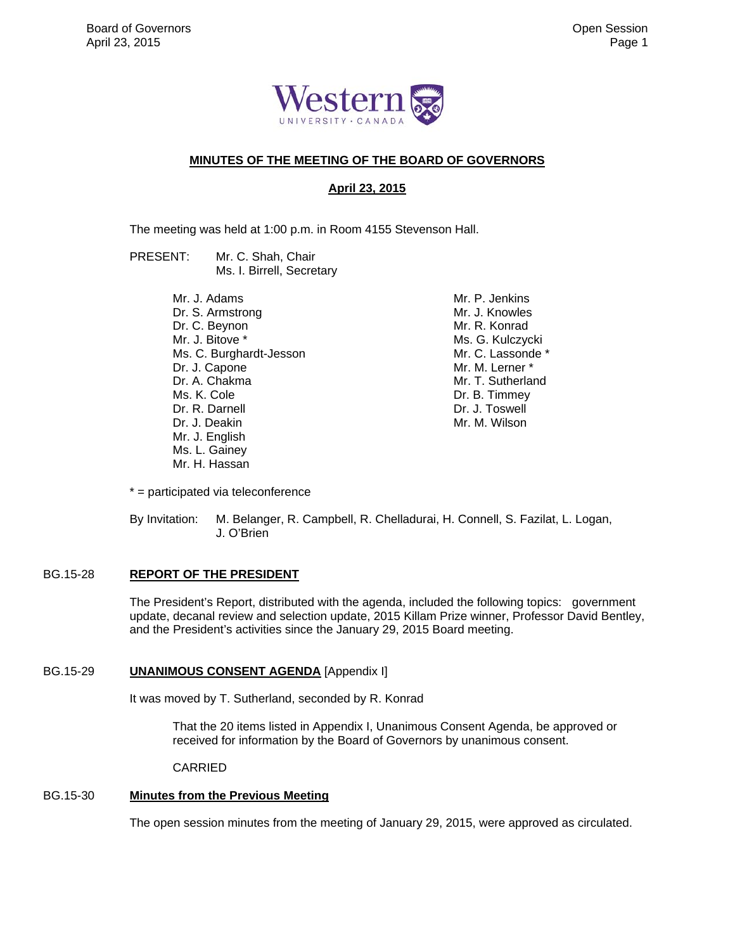

# **MINUTES OF THE MEETING OF THE BOARD OF GOVERNORS**

# **April 23, 2015**

The meeting was held at 1:00 p.m. in Room 4155 Stevenson Hall.

PRESENT: Mr. C. Shah, Chair Ms. I. Birrell, Secretary

> Mr. J. Adams Dr. S. Armstrong Dr. C. Beynon Mr. J. Bitove \* Ms. C. Burghardt-Jesson Dr. J. Capone Dr. A. Chakma Ms. K. Cole Dr. R. Darnell Dr. J. Deakin Mr. J. English Ms. L. Gainey Mr. H. Hassan

 Mr. P. Jenkins Mr. J. Knowles Mr. R. Konrad Ms. G. Kulczycki Mr. C. Lassonde \* Mr. M. Lerner \* Mr. T. Sutherland Dr. B. Timmey Dr. J. Toswell Mr. M. Wilson

\* = participated via teleconference

By Invitation: M. Belanger, R. Campbell, R. Chelladurai, H. Connell, S. Fazilat, L. Logan, J. O'Brien

# BG.15-28 **REPORT OF THE PRESIDENT**

The President's Report, distributed with the agenda, included the following topics: government update, decanal review and selection update, 2015 Killam Prize winner, Professor David Bentley, and the President's activities since the January 29, 2015 Board meeting.

#### BG.15-29 **UNANIMOUS CONSENT AGENDA** [Appendix I]

It was moved by T. Sutherland, seconded by R. Konrad

That the 20 items listed in Appendix I, Unanimous Consent Agenda, be approved or received for information by the Board of Governors by unanimous consent.

CARRIED

# BG.15-30 **Minutes from the Previous Meeting**

The open session minutes from the meeting of January 29, 2015, were approved as circulated.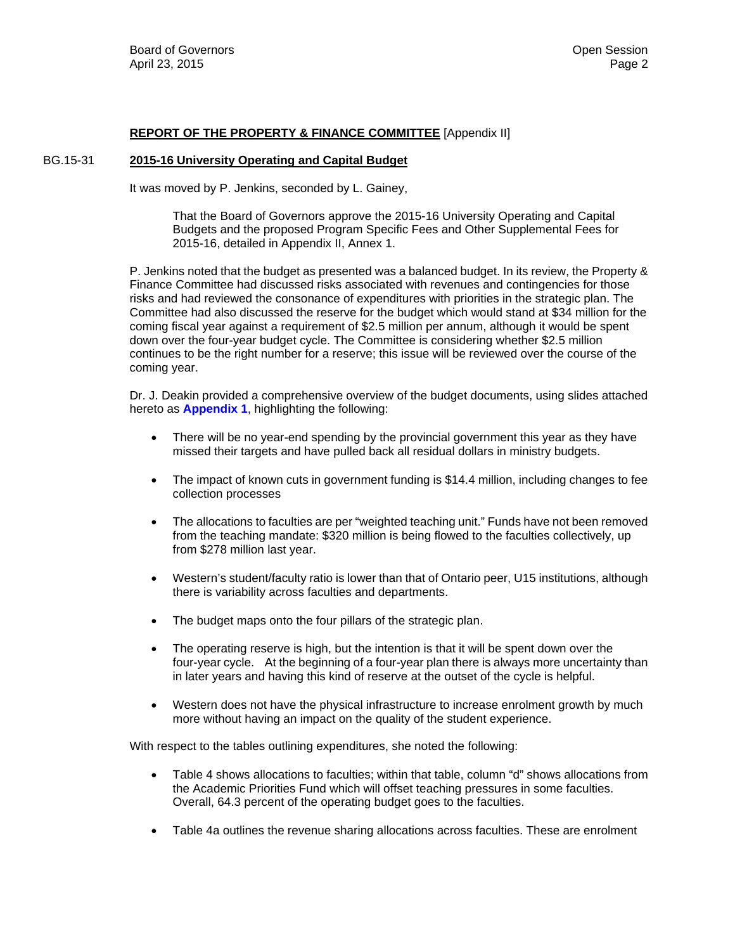# **REPORT OF THE PROPERTY & FINANCE COMMITTEE** [Appendix II]

# BG.15-31 **2015-16 University Operating and Capital Budget**

It was moved by P. Jenkins, seconded by L. Gainey,

That the Board of Governors approve the 2015-16 University Operating and Capital Budgets and the proposed Program Specific Fees and Other Supplemental Fees for 2015-16, detailed in Appendix II, Annex 1.

P. Jenkins noted that the budget as presented was a balanced budget. In its review, the Property & Finance Committee had discussed risks associated with revenues and contingencies for those risks and had reviewed the consonance of expenditures with priorities in the strategic plan. The Committee had also discussed the reserve for the budget which would stand at \$34 million for the coming fiscal year against a requirement of \$2.5 million per annum, although it would be spent down over the four-year budget cycle. The Committee is considering whether \$2.5 million continues to be the right number for a reserve; this issue will be reviewed over the course of the coming year.

Dr. J. Deakin provided a comprehensive overview of the budget documents, using slides attached hereto as **[Appendix 1](#page-6-0)**, highlighting the following:

- There will be no year-end spending by the provincial government this year as they have missed their targets and have pulled back all residual dollars in ministry budgets.
- The impact of known cuts in government funding is \$14.4 million, including changes to fee collection processes
- The allocations to faculties are per "weighted teaching unit." Funds have not been removed from the teaching mandate: \$320 million is being flowed to the faculties collectively, up from \$278 million last year.
- Western's student/faculty ratio is lower than that of Ontario peer, U15 institutions, although there is variability across faculties and departments.
- The budget maps onto the four pillars of the strategic plan.
- The operating reserve is high, but the intention is that it will be spent down over the four-year cycle. At the beginning of a four-year plan there is always more uncertainty than in later years and having this kind of reserve at the outset of the cycle is helpful.
- Western does not have the physical infrastructure to increase enrolment growth by much more without having an impact on the quality of the student experience.

With respect to the tables outlining expenditures, she noted the following:

- Table 4 shows allocations to faculties; within that table, column "d" shows allocations from the Academic Priorities Fund which will offset teaching pressures in some faculties. Overall, 64.3 percent of the operating budget goes to the faculties.
- Table 4a outlines the revenue sharing allocations across faculties. These are enrolment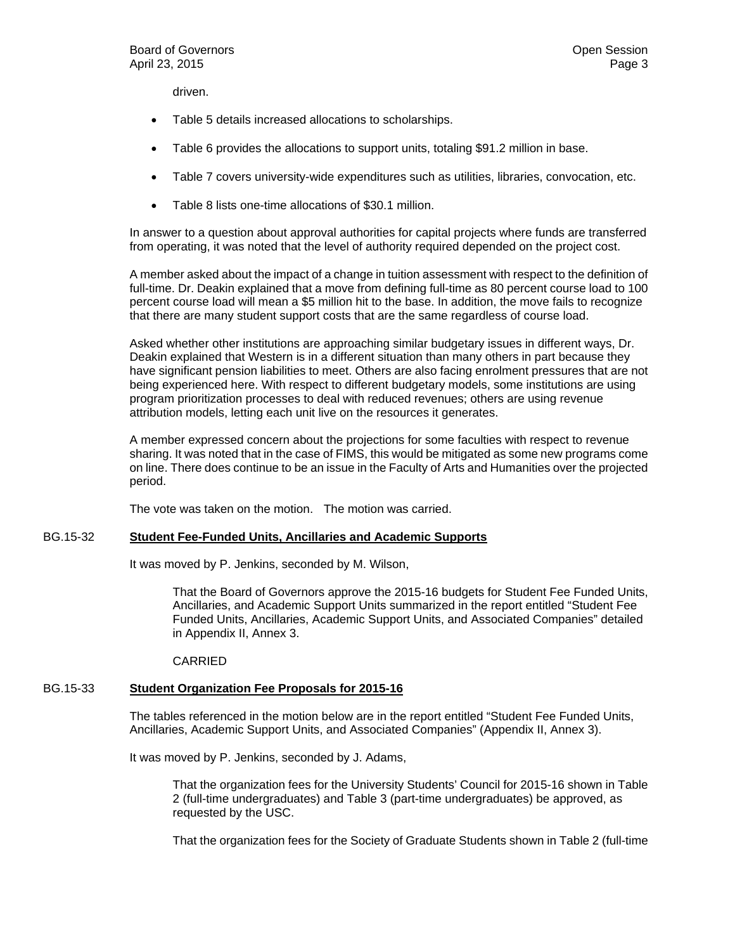driven.

- Table 5 details increased allocations to scholarships.
- Table 6 provides the allocations to support units, totaling \$91.2 million in base.
- Table 7 covers university-wide expenditures such as utilities, libraries, convocation, etc.
- Table 8 lists one-time allocations of \$30.1 million.

In answer to a question about approval authorities for capital projects where funds are transferred from operating, it was noted that the level of authority required depended on the project cost.

A member asked about the impact of a change in tuition assessment with respect to the definition of full-time. Dr. Deakin explained that a move from defining full-time as 80 percent course load to 100 percent course load will mean a \$5 million hit to the base. In addition, the move fails to recognize that there are many student support costs that are the same regardless of course load.

Asked whether other institutions are approaching similar budgetary issues in different ways, Dr. Deakin explained that Western is in a different situation than many others in part because they have significant pension liabilities to meet. Others are also facing enrolment pressures that are not being experienced here. With respect to different budgetary models, some institutions are using program prioritization processes to deal with reduced revenues; others are using revenue attribution models, letting each unit live on the resources it generates.

A member expressed concern about the projections for some faculties with respect to revenue sharing. It was noted that in the case of FIMS, this would be mitigated as some new programs come on line. There does continue to be an issue in the Faculty of Arts and Humanities over the projected period.

The vote was taken on the motion. The motion was carried.

# BG.15-32 **Student Fee-Funded Units, Ancillaries and Academic Supports**

It was moved by P. Jenkins, seconded by M. Wilson,

That the Board of Governors approve the 2015-16 budgets for Student Fee Funded Units, Ancillaries, and Academic Support Units summarized in the report entitled "Student Fee Funded Units, Ancillaries, Academic Support Units, and Associated Companies" detailed in Appendix II, Annex 3.

# CARRIED

# BG.15-33 **Student Organization Fee Proposals for 2015-16**

The tables referenced in the motion below are in the report entitled "Student Fee Funded Units, Ancillaries, Academic Support Units, and Associated Companies" (Appendix II, Annex 3).

It was moved by P. Jenkins, seconded by J. Adams,

That the organization fees for the University Students' Council for 2015-16 shown in Table 2 (full-time undergraduates) and Table 3 (part-time undergraduates) be approved, as requested by the USC.

That the organization fees for the Society of Graduate Students shown in Table 2 (full-time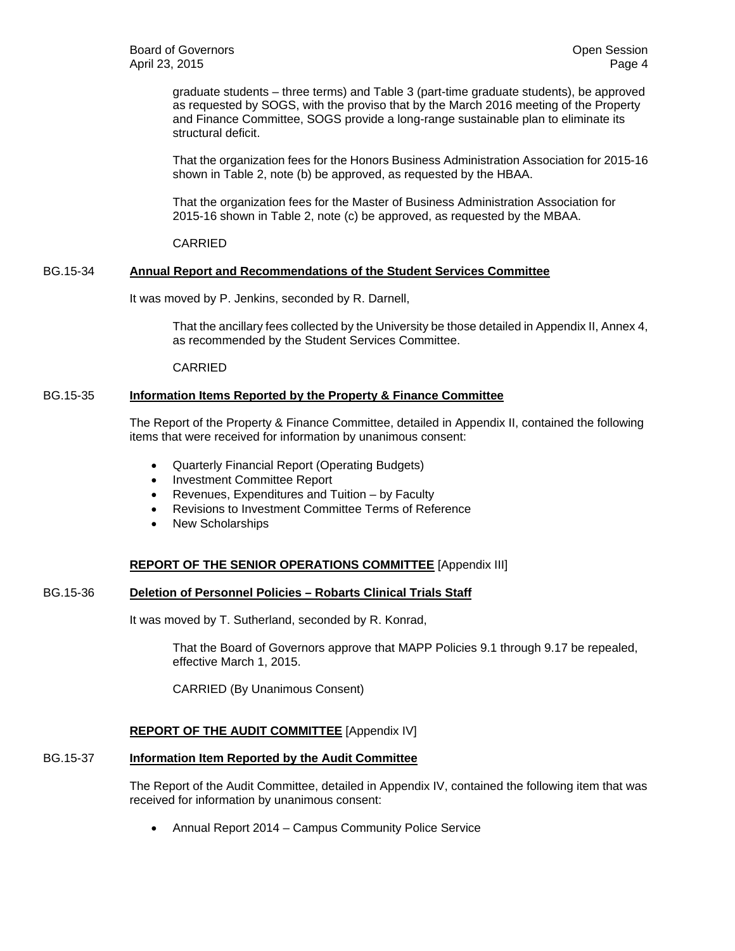graduate students – three terms) and Table 3 (part-time graduate students), be approved as requested by SOGS, with the proviso that by the March 2016 meeting of the Property and Finance Committee, SOGS provide a long-range sustainable plan to eliminate its structural deficit.

That the organization fees for the Honors Business Administration Association for 2015-16 shown in Table 2, note (b) be approved, as requested by the HBAA.

That the organization fees for the Master of Business Administration Association for 2015-16 shown in Table 2, note (c) be approved, as requested by the MBAA.

CARRIED

# BG.15-34 **Annual Report and Recommendations of the Student Services Committee**

It was moved by P. Jenkins, seconded by R. Darnell,

That the ancillary fees collected by the University be those detailed in Appendix II, Annex 4, as recommended by the Student Services Committee.

CARRIED

### BG.15-35 **Information Items Reported by the Property & Finance Committee**

The Report of the Property & Finance Committee, detailed in Appendix II, contained the following items that were received for information by unanimous consent:

- Quarterly Financial Report (Operating Budgets)
- Investment Committee Report
- Revenues, Expenditures and Tuition by Faculty
- Revisions to Investment Committee Terms of Reference
- New Scholarships

# **REPORT OF THE SENIOR OPERATIONS COMMITTEE** [Appendix III]

#### BG.15-36 **Deletion of Personnel Policies – Robarts Clinical Trials Staff**

It was moved by T. Sutherland, seconded by R. Konrad,

That the Board of Governors approve that MAPP Policies 9.1 through 9.17 be repealed, effective March 1, 2015.

CARRIED (By Unanimous Consent)

# **REPORT OF THE AUDIT COMMITTEE** [Appendix IV]

# BG.15-37 **Information Item Reported by the Audit Committee**

The Report of the Audit Committee, detailed in Appendix IV, contained the following item that was received for information by unanimous consent:

Annual Report 2014 – Campus Community Police Service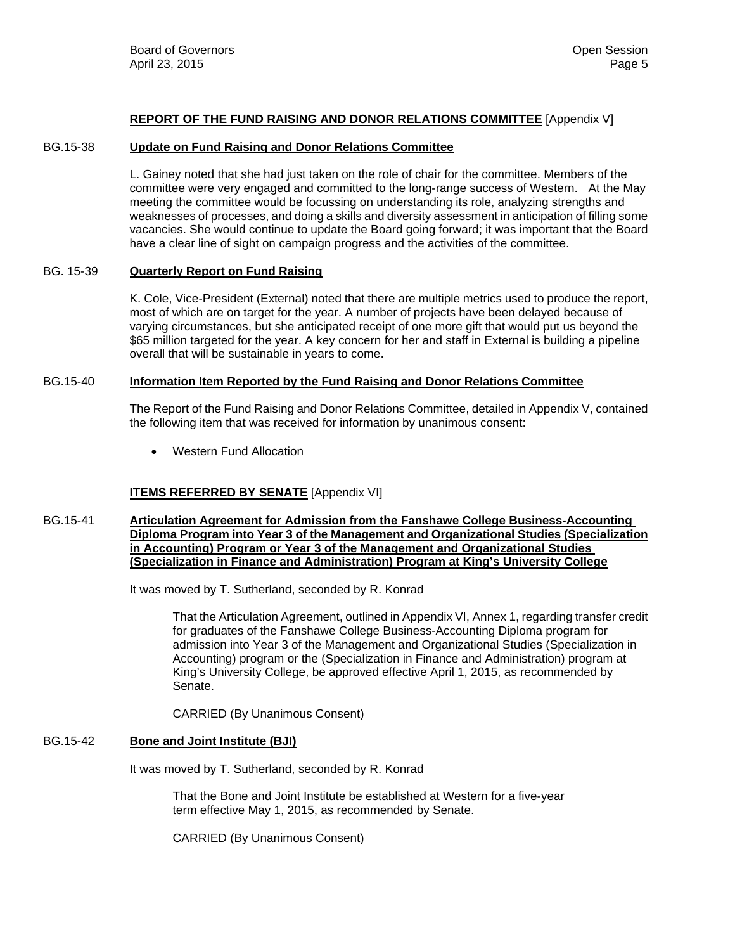#### **REPORT OF THE FUND RAISING AND DONOR RELATIONS COMMITTEE** [Appendix V]

#### BG.15-38 **Update on Fund Raising and Donor Relations Committee**

L. Gainey noted that she had just taken on the role of chair for the committee. Members of the committee were very engaged and committed to the long-range success of Western. At the May meeting the committee would be focussing on understanding its role, analyzing strengths and weaknesses of processes, and doing a skills and diversity assessment in anticipation of filling some vacancies. She would continue to update the Board going forward; it was important that the Board have a clear line of sight on campaign progress and the activities of the committee.

# BG. 15-39 **Quarterly Report on Fund Raising**

K. Cole, Vice-President (External) noted that there are multiple metrics used to produce the report, most of which are on target for the year. A number of projects have been delayed because of varying circumstances, but she anticipated receipt of one more gift that would put us beyond the \$65 million targeted for the year. A key concern for her and staff in External is building a pipeline overall that will be sustainable in years to come.

#### BG.15-40 **Information Item Reported by the Fund Raising and Donor Relations Committee**

The Report of the Fund Raising and Donor Relations Committee, detailed in Appendix V, contained the following item that was received for information by unanimous consent:

Western Fund Allocation

#### **ITEMS REFERRED BY SENATE** [Appendix VI]

#### BG.15-41 **Articulation Agreement for Admission from the Fanshawe College Business-Accounting Diploma Program into Year 3 of the Management and Organizational Studies (Specialization in Accounting) Program or Year 3 of the Management and Organizational Studies (Specialization in Finance and Administration) Program at King's University College**

It was moved by T. Sutherland, seconded by R. Konrad

That the Articulation Agreement, outlined in Appendix VI, Annex 1, regarding transfer credit for graduates of the Fanshawe College Business-Accounting Diploma program for admission into Year 3 of the Management and Organizational Studies (Specialization in Accounting) program or the (Specialization in Finance and Administration) program at King's University College, be approved effective April 1, 2015, as recommended by Senate.

CARRIED (By Unanimous Consent)

#### BG.15-42 **Bone and Joint Institute (BJI)**

It was moved by T. Sutherland, seconded by R. Konrad

 That the Bone and Joint Institute be established at Western for a five-year term effective May 1, 2015, as recommended by Senate.

CARRIED (By Unanimous Consent)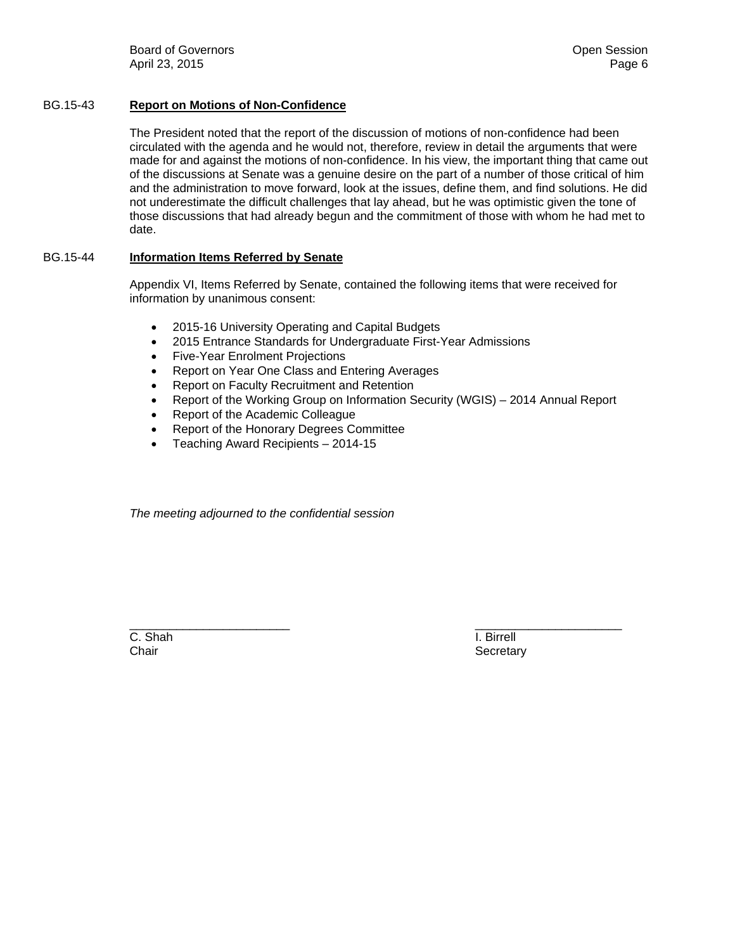Board of Governors **Community Board of Governors Community Community Community Community Community Community Community Community Community Community Community Community Community Community C** April 23, 2015 Page 6

# BG.15-43 **Report on Motions of Non-Confidence**

The President noted that the report of the discussion of motions of non-confidence had been circulated with the agenda and he would not, therefore, review in detail the arguments that were made for and against the motions of non-confidence. In his view, the important thing that came out of the discussions at Senate was a genuine desire on the part of a number of those critical of him and the administration to move forward, look at the issues, define them, and find solutions. He did not underestimate the difficult challenges that lay ahead, but he was optimistic given the tone of those discussions that had already begun and the commitment of those with whom he had met to date.

# BG.15-44 **Information Items Referred by Senate**

Appendix VI, Items Referred by Senate, contained the following items that were received for information by unanimous consent:

- 2015-16 University Operating and Capital Budgets
- 2015 Entrance Standards for Undergraduate First-Year Admissions
- Five-Year Enrolment Projections
- Report on Year One Class and Entering Averages
- Report on Faculty Recruitment and Retention
- Report of the Working Group on Information Security (WGIS) 2014 Annual Report
- Report of the Academic Colleague
- Report of the Honorary Degrees Committee
- Teaching Award Recipients 2014-15

*The meeting adjourned to the confidential session* 

 $\frac{1}{2}$  ,  $\frac{1}{2}$  ,  $\frac{1}{2}$  ,  $\frac{1}{2}$  ,  $\frac{1}{2}$  ,  $\frac{1}{2}$  ,  $\frac{1}{2}$  ,  $\frac{1}{2}$  ,  $\frac{1}{2}$  ,  $\frac{1}{2}$  ,  $\frac{1}{2}$  ,  $\frac{1}{2}$  ,  $\frac{1}{2}$  ,  $\frac{1}{2}$  ,  $\frac{1}{2}$  ,  $\frac{1}{2}$  ,  $\frac{1}{2}$  ,  $\frac{1}{2}$  ,  $\frac{1$ C. Shah I. Birrell Chair **Secretary** Secretary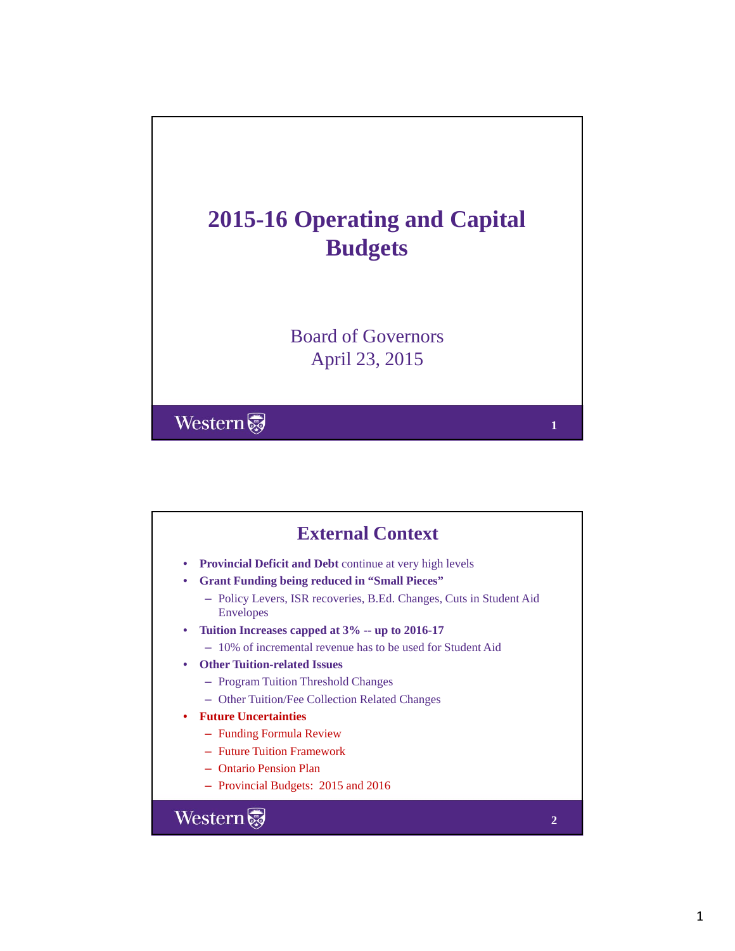<span id="page-6-0"></span>

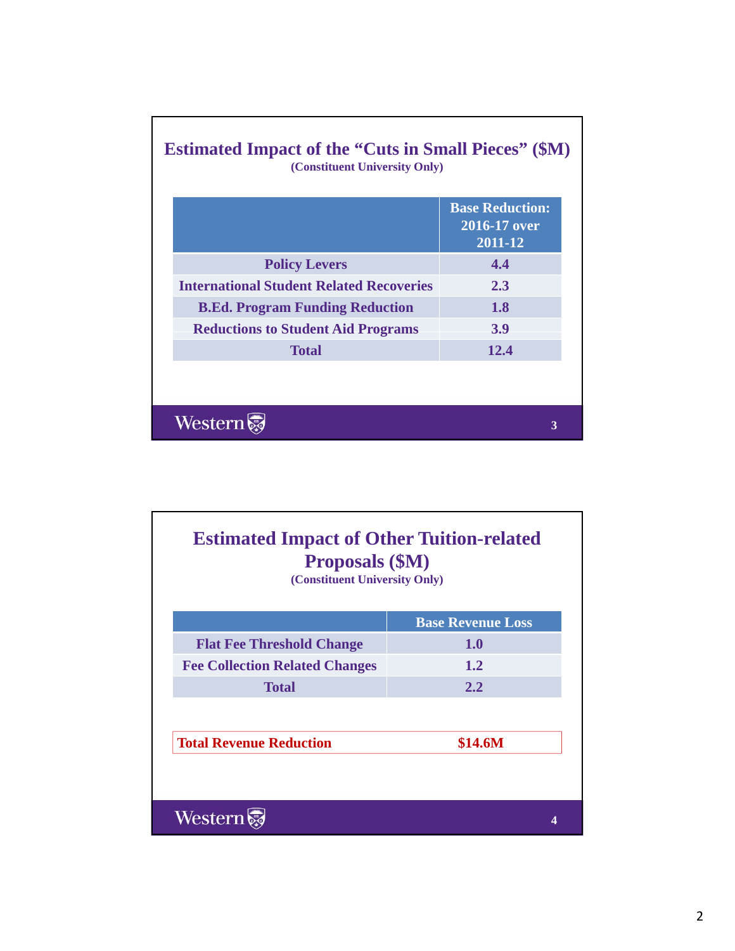|                                                 | <b>Base Reduction:</b><br>$2016 - 17$ over<br>2011-12 |
|-------------------------------------------------|-------------------------------------------------------|
| <b>Policy Levers</b>                            | 4.4                                                   |
| <b>International Student Related Recoveries</b> | 2.3                                                   |
| <b>B.Ed. Program Funding Reduction</b>          | <b>1.8</b>                                            |
| <b>Reductions to Student Aid Programs</b>       | <b>3.9</b>                                            |
| <b>Total</b>                                    | 12.4                                                  |
|                                                 |                                                       |

| <b>Estimated Impact of Other Tuition-related</b><br><b>Proposals (\$M)</b><br>(Constituent University Only) |                          |
|-------------------------------------------------------------------------------------------------------------|--------------------------|
|                                                                                                             | <b>Base Revenue Loss</b> |
| <b>Flat Fee Threshold Change</b>                                                                            | 1.0                      |
| <b>Fee Collection Related Changes</b>                                                                       | $1.2^{\circ}$            |
| <b>Total</b>                                                                                                | 2.2                      |
|                                                                                                             |                          |
| <b>Total Revenue Reduction</b>                                                                              | <b>\$14.6M</b>           |
|                                                                                                             |                          |
| Western                                                                                                     |                          |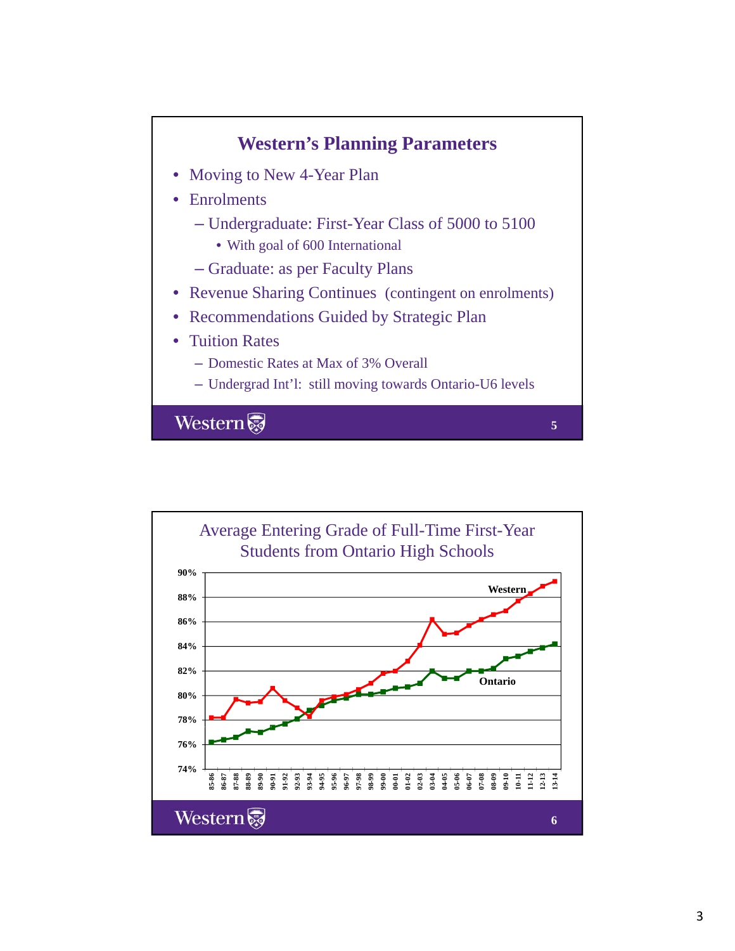

Average Entering Grade of Full-Time First-Year Students from Ontario High Schools **90% Western 88% 86% 84% 82% Ontario 80% 78% 76% 74% 87-88 85-86 86-87 88-89 89-90 91-92 92-93 93-94 94-95 95-96 96-97 99-00 01-02 03-04 05-06 06-07 09-10 10-11 11-12 12-13 13-14 90-91 97-98 98-99 00-01 02-03 04-05 07-08 08-09** Western **6**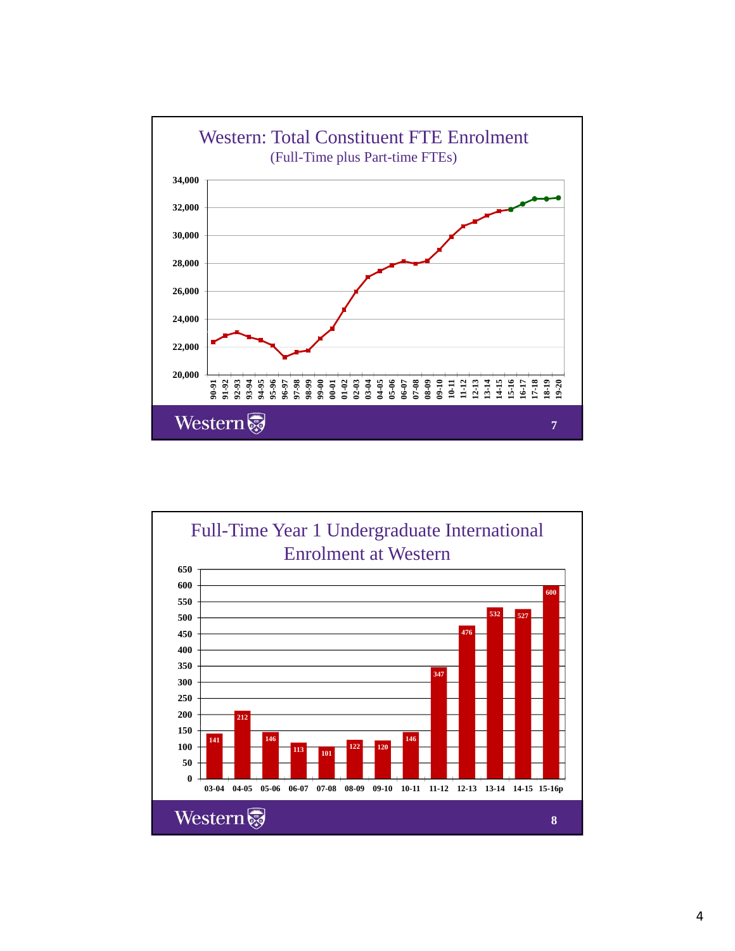

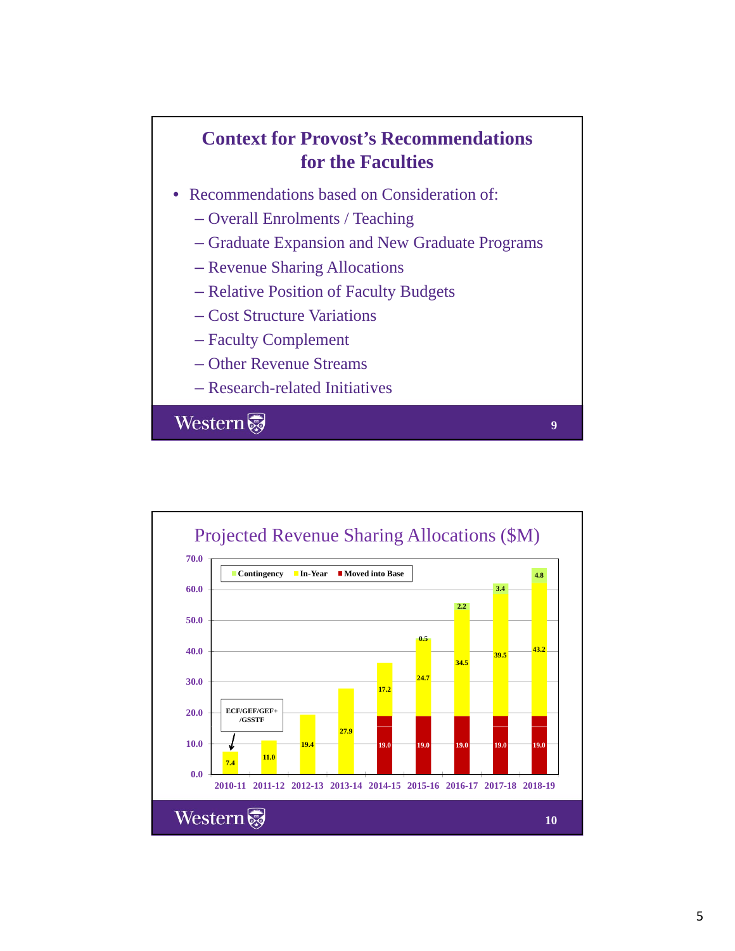# **Context for Provost's Recommendations for the Faculties**

- Recommendations based on Consideration of:
	- $-$  Overall Enrolments / Teaching
	- Graduate Expansion and New Graduate Programs

**9**

- Revenue Sharing Allocations
- Relative Position of Faculty Budgets
- Cost Structure Variations
- Faculty Complement
- Other Revenue Streams
- Research-related Initiatives

Western

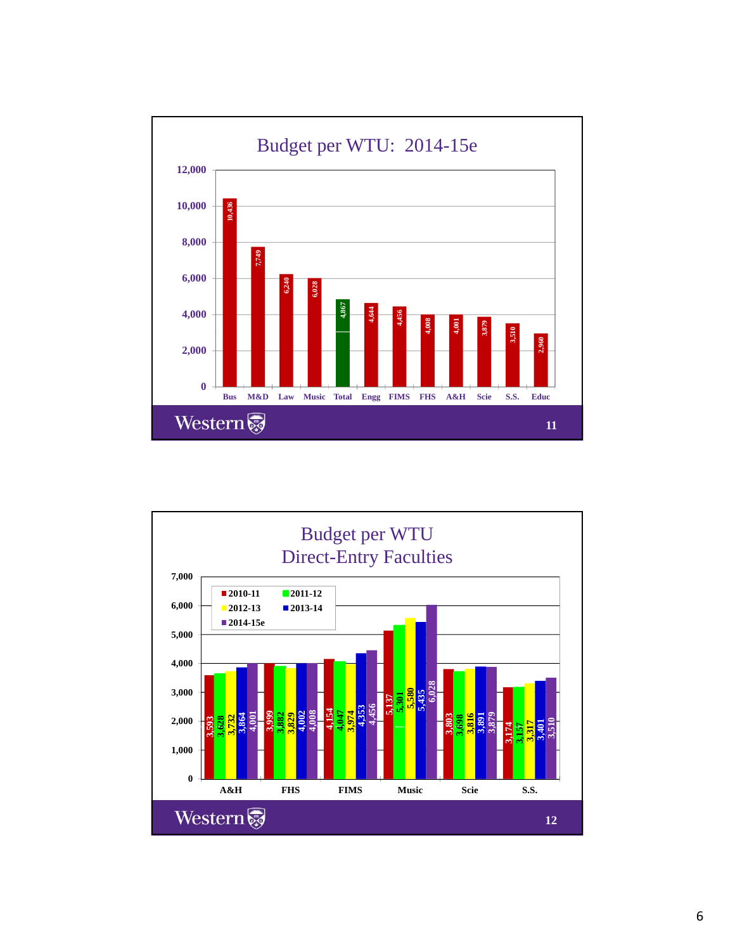

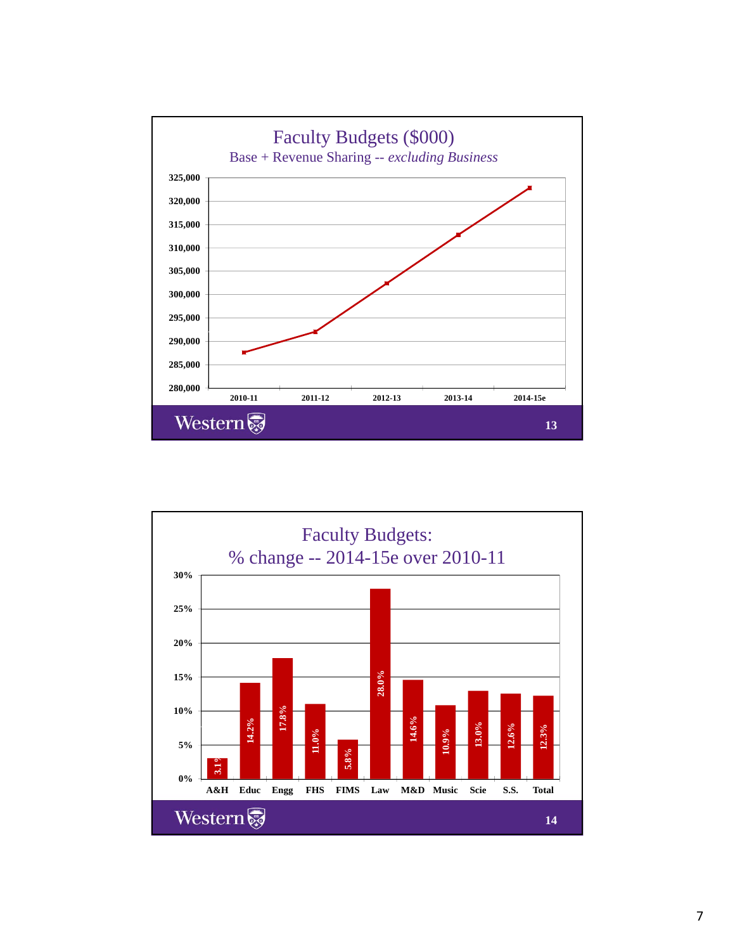

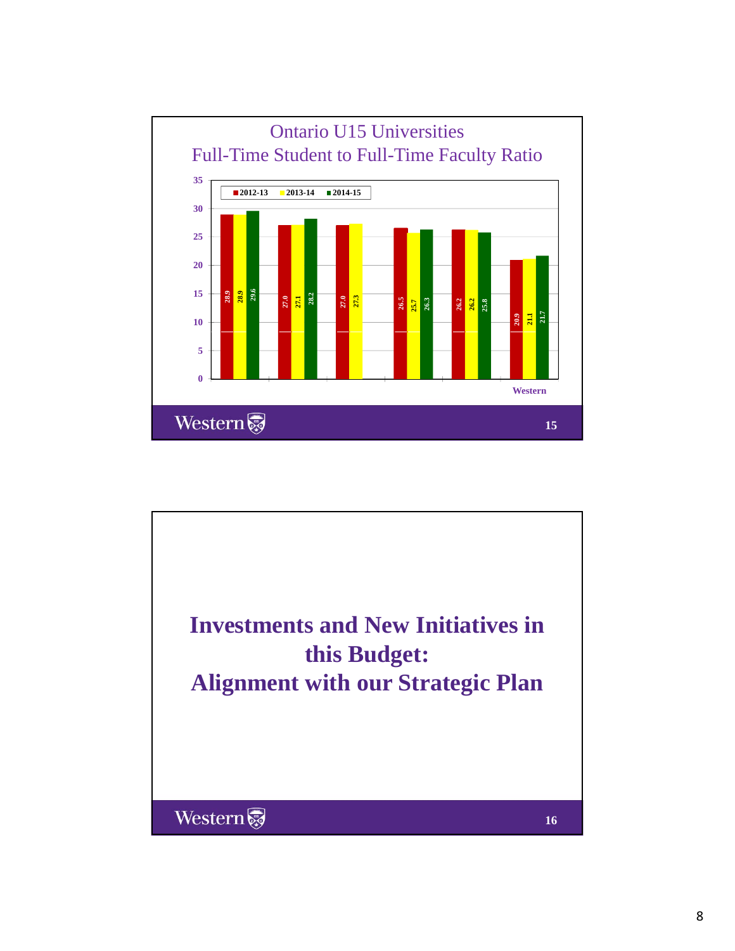

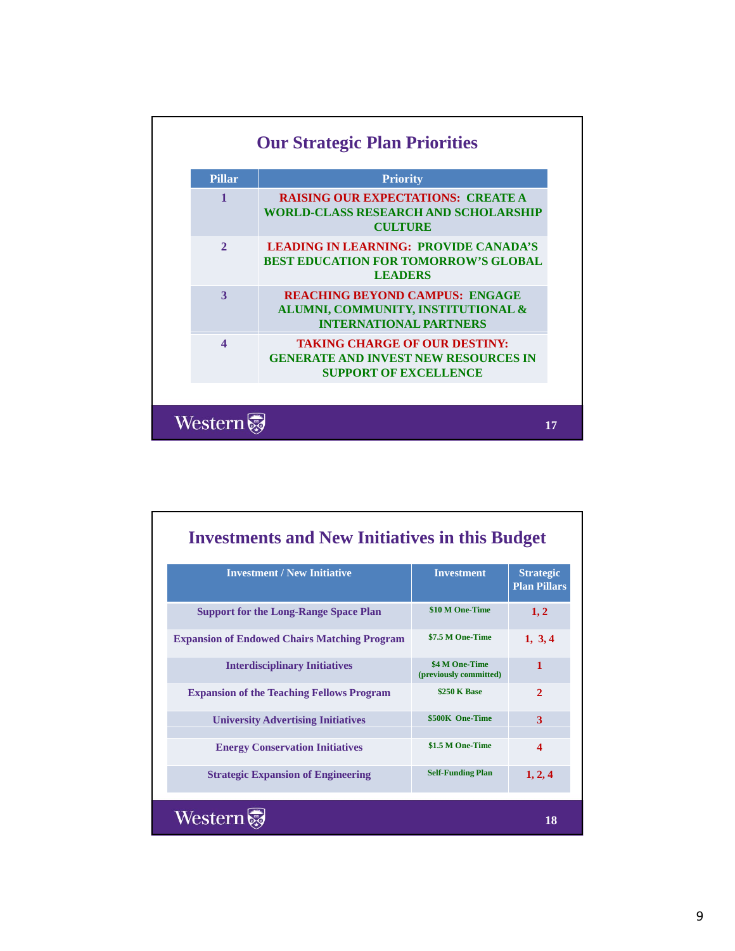| <b>Pillar</b>          | <b>Priority</b>                                                                                                     |
|------------------------|---------------------------------------------------------------------------------------------------------------------|
| $\mathbf{1}$           | <b>RAISING OUR EXPECTATIONS: CREATE A</b><br><b>WORLD-CLASS RESEARCH AND SCHOLARSHIP</b><br><b>CULTURE</b>          |
| $\mathcal{D}_{\alpha}$ | <b>LEADING IN LEARNING: PROVIDE CANADA'S</b><br><b>BEST EDUCATION FOR TOMORROW'S GLOBAL</b><br><b>LEADERS</b>       |
| $\mathbf{3}$           | <b>REACHING BEYOND CAMPUS: ENGAGE</b><br>ALUMNI, COMMUNITY, INSTITUTIONAL &<br><b>INTERNATIONAL PARTNERS</b>        |
| $\boldsymbol{\Lambda}$ | <b>TAKING CHARGE OF OUR DESTINY:</b><br><b>GENERATE AND INVEST NEW RESOURCES IN</b><br><b>SUPPORT OF EXCELLENCE</b> |

| <b>Investments and New Initiatives in this Budget</b> |                                          |                                         |
|-------------------------------------------------------|------------------------------------------|-----------------------------------------|
| <b>Investment / New Initiative</b>                    | <b>Investment</b>                        | <b>Strategic</b><br><b>Plan Pillars</b> |
| <b>Support for the Long-Range Space Plan</b>          | \$10 M One-Time                          | 1, 2                                    |
| <b>Expansion of Endowed Chairs Matching Program</b>   | \$7.5 M One-Time                         | 1, 3, 4                                 |
| <b>Interdisciplinary Initiatives</b>                  | \$4 M One-Time<br>(previously committed) | 1                                       |
| <b>Expansion of the Teaching Fellows Program</b>      | \$250 K Base                             | $\overline{2}$                          |
| <b>University Advertising Initiatives</b>             | \$500K One-Time                          | 3                                       |
| <b>Energy Conservation Initiatives</b>                | \$1.5 M One-Time                         | $\boldsymbol{\Lambda}$                  |
| <b>Strategic Expansion of Engineering</b>             | <b>Self-Funding Plan</b>                 | 1, 2, 4                                 |
| Western                                               |                                          | 18                                      |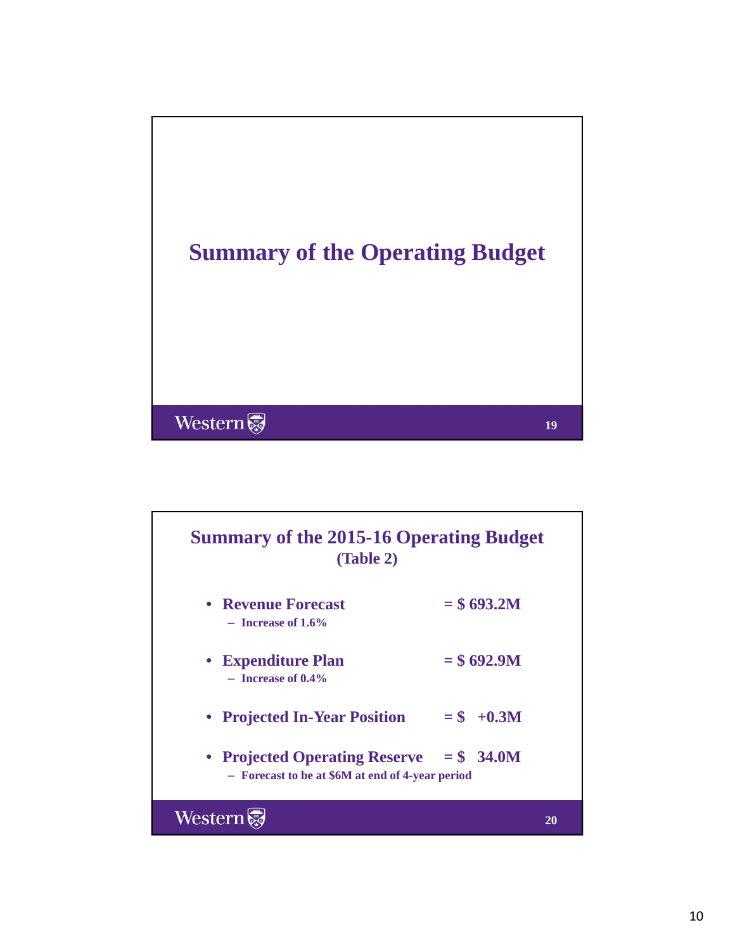

# **Summary of the 2015-16 Operating Budget (Table 2)**

- **Revenue Forecast**  $= $693.2M$  $-$ **Increase of** 1.6%
- **Expenditure Plan**  $= $692.9M$ – **Increase of 0.4%**
- **Projected In-Year Position = \$ +0.3M**
- **Projected Operating Reserve = \$ 34.0M** – **Forecast to be at \$6M at end of 4-year period**

Western

**20**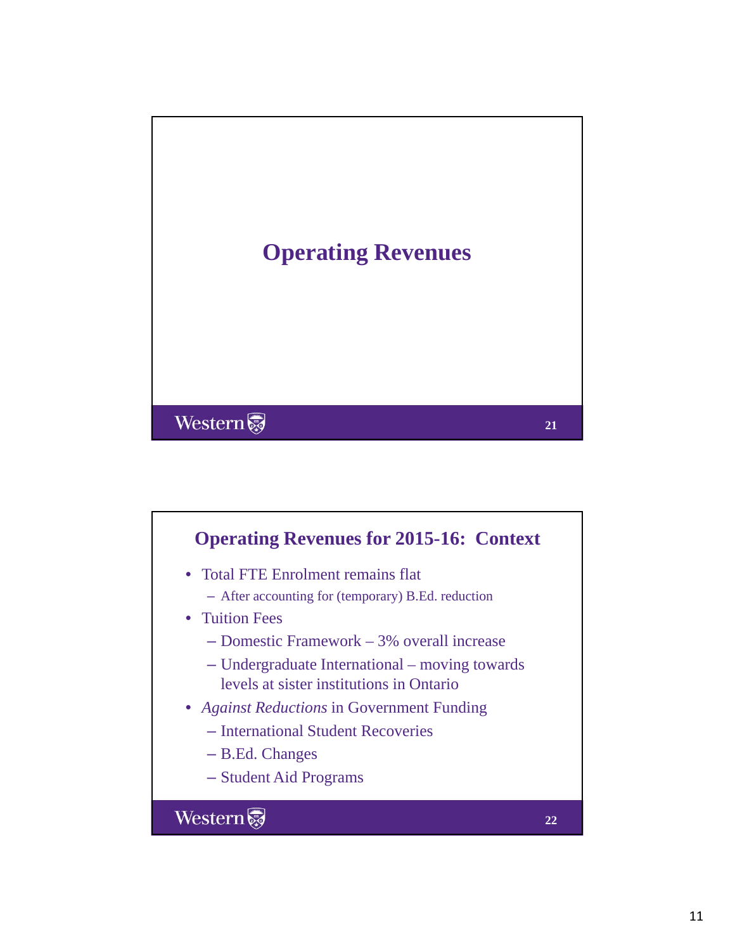

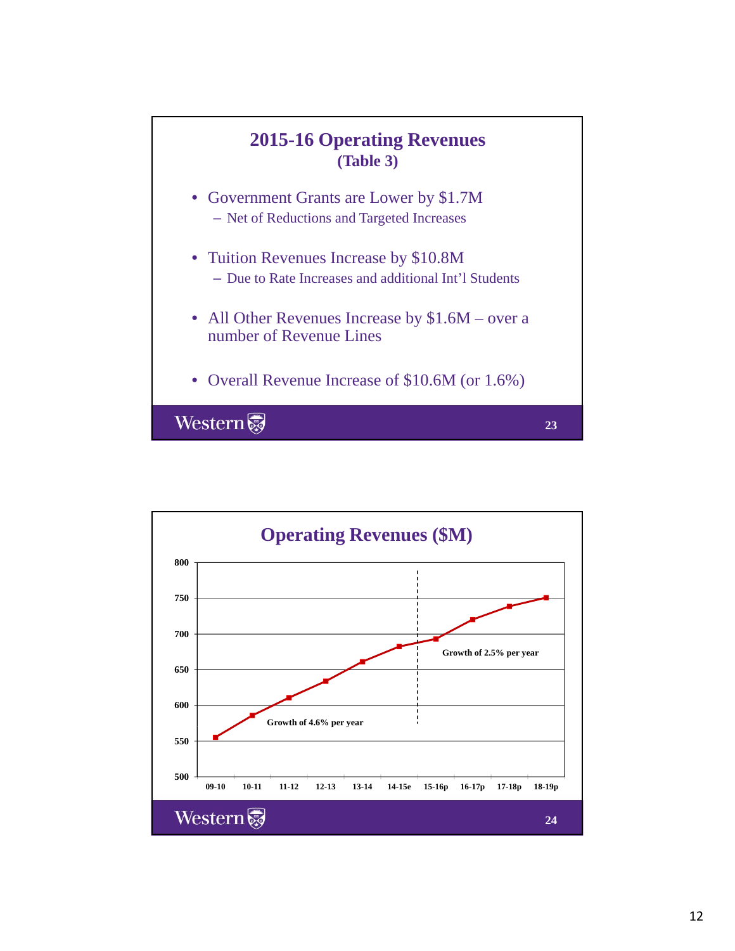

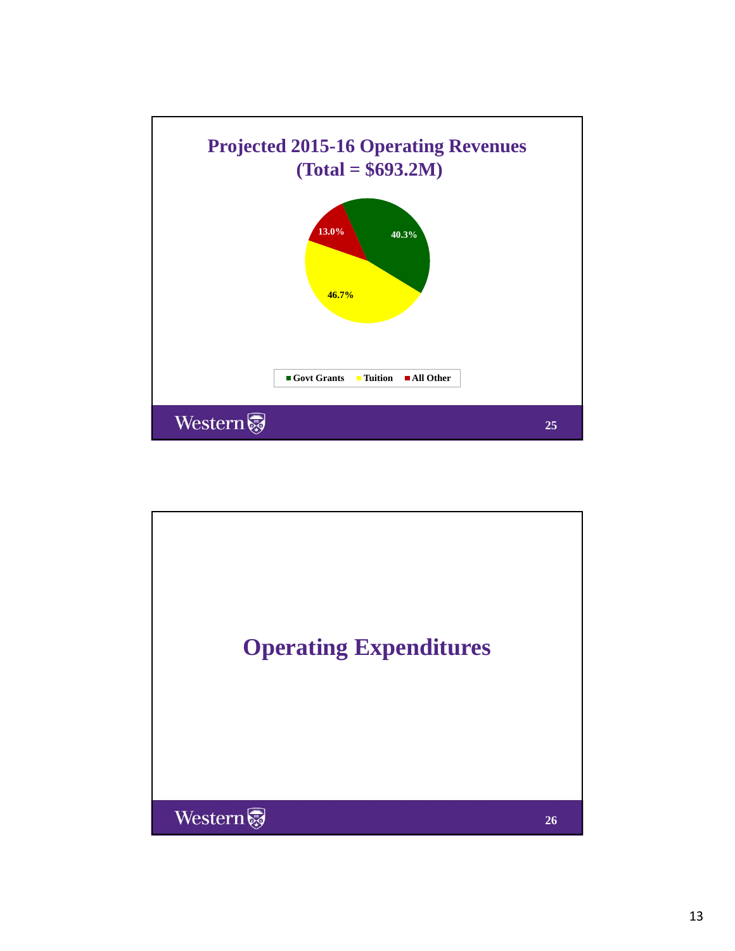

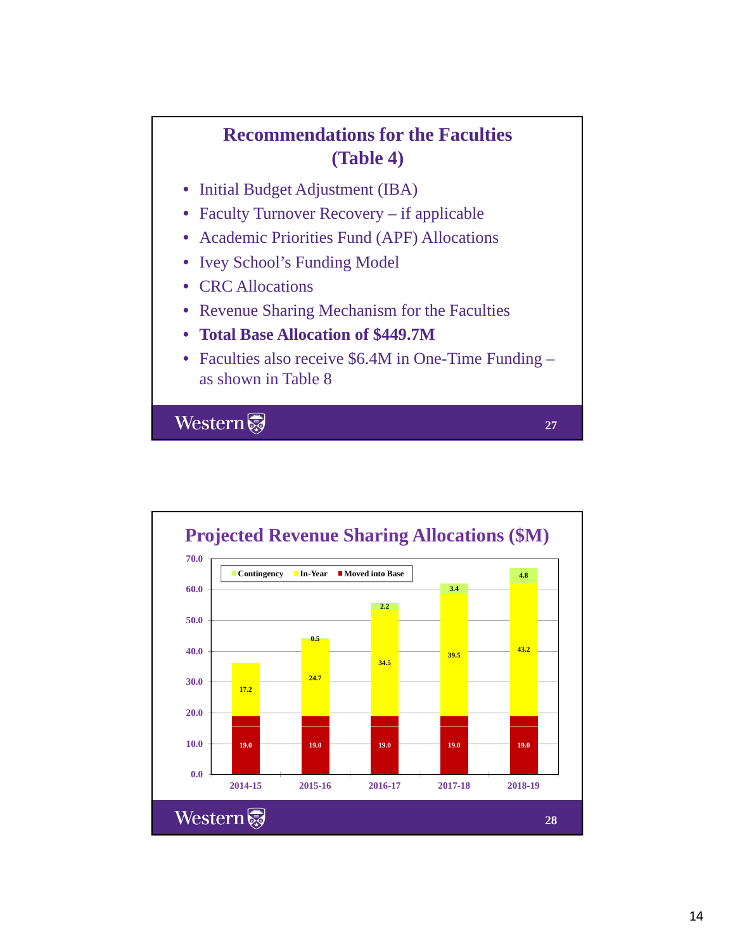# **Recommendations for the Faculties (Table 4)**

- Initial Budget Adjustment (IBA)
- Faculty Turnover Recovery if applicable
- Academic Priorities Fund (APF) Allocations
- Ivey School's Funding Model
- CRC Allocations
- Revenue Sharing Mechanism for the Faculties
- **Total Base Allocation of \$449.7M**
- Faculties also receive \$6.4M in One-Time Funding as shown in Table 8

**27**

Western

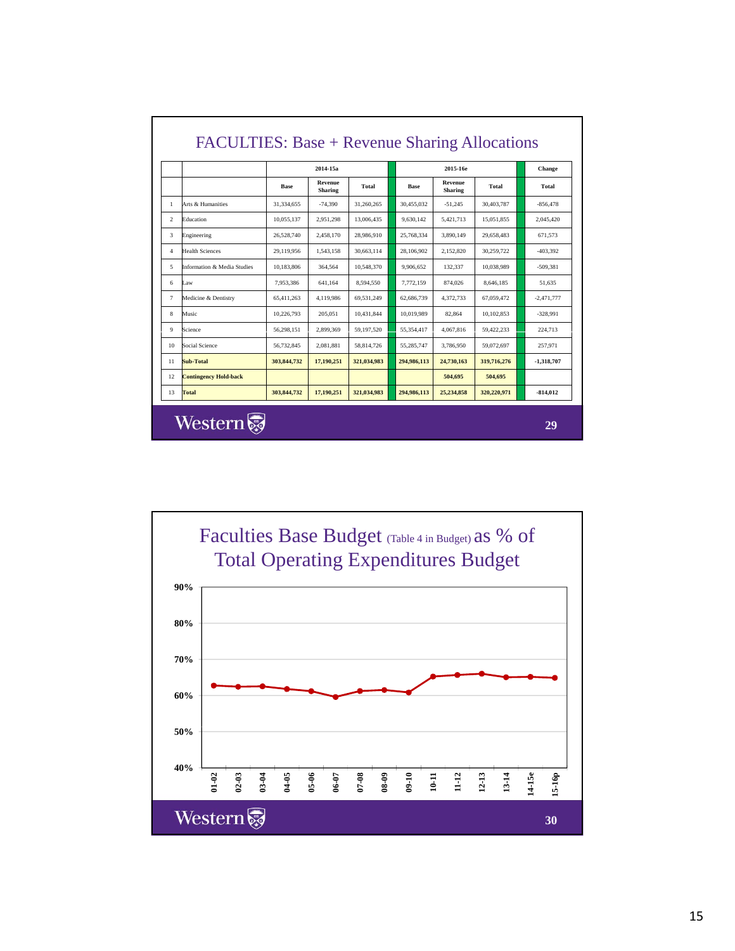|                |                              | 2014-15a      |                           |             | 2015-16e    |                           |             | Change       |
|----------------|------------------------------|---------------|---------------------------|-------------|-------------|---------------------------|-------------|--------------|
|                |                              | <b>Base</b>   | Revenue<br><b>Sharing</b> | Total       | <b>Base</b> | Revenue<br><b>Sharing</b> | Total       | Total        |
| 1              | Arts & Humanities            | 31.334.655    | $-74.390$                 | 31.260.265  | 30.455,032  | $-51.245$                 | 30.403.787  | $-856.478$   |
| $\mathfrak{D}$ | Education                    | 10,055,137    | 2,951,298                 | 13,006,435  | 9,630,142   | 5,421,713                 | 15,051,855  | 2,045,420    |
| 3              | Engineering                  | 26.528.740    | 2.458.170                 | 28,986,910  | 25.768.334  | 3.890.149                 | 29.658.483  | 671.573      |
| $\overline{4}$ | <b>Health Sciences</b>       | 29,119,956    | 1,543,158                 | 30,663,114  | 28,106,902  | 2,152,820                 | 30,259,722  | $-403,392$   |
| 5              | Information & Media Studies  | 10.183.806    | 364.564                   | 10,548,370  | 9.906.652   | 132,337                   | 10.038.989  | $-509.381$   |
| 6              | Law                          | 7.953.386     | 641.164                   | 8.594.550   | 7.772.159   | 874.026                   | 8.646.185   | 51.635       |
| $\tau$         | Medicine & Dentistry         | 65.411.263    | 4.119.986                 | 69.531.249  | 62,686,739  | 4.372.733                 | 67.059.472  | $-2.471.777$ |
| 8              | Music                        | 10.226.793    | 205.051                   | 10.431.844  | 10.019.989  | 82.864                    | 10,102,853  | $-328.991$   |
| 9              | Science                      | 56.298.151    | 2.899.369                 | 59.197.520  | 55.354.417  | 4.067.816                 | 59.422.233  | 224,713      |
| 10             | Social Science               | 56,732,845    | 2.081.881                 | 58,814,726  | 55.285.747  | 3.786.950                 | 59,072,697  | 257,971      |
| 11             | Sub-Total                    | 303, 844, 732 | 17,190,251                | 321,034,983 | 294,986,113 | 24,730,163                | 319,716,276 | -1,318,707   |
| 12             | <b>Contingency Hold-back</b> |               |                           |             |             | 504,695                   | 504,695     |              |
| 13             | Total                        | 303, 844, 732 | 17,190,251                | 321,034,983 | 294,986,113 | 25,234,858                | 320,220,971 | $-814,012$   |

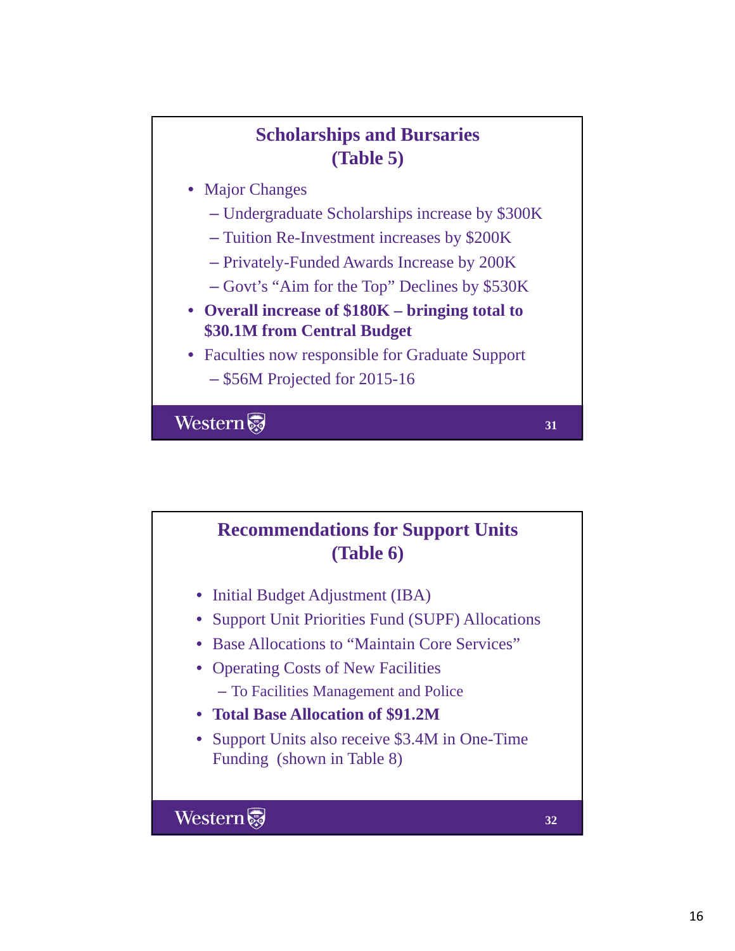# **Scholarships and Bursaries (Table 5)**

- Major Changes
	- Undergraduate Scholarships increase by \$300K
	- Tuition Re-Investment increases by \$200K
	- Privately-Funded Awards Increase by 200K
	- Govt's "Aim for the Top" Declines by \$530K
- **Overall increase of \$180K bringing total to \$30 1M from Central Budget \$30.1M from Central**
- Faculties now responsible for Graduate Support – \$56M Projected for 2015-16

**31**

Western

# **Recommendations for Support Units (Table 6)** • Initial Budget Adjustment (IBA) • Support Unit Priorities Fund (SUPF) Allocations • Base Allocations to "Maintain Core Services" • Operating Costs of New Facilities – To Facilities Management and Police • **Total Base Allocation of \$91.2M** • Support Units also receive \$3.4M in One-Time Funding (shown in Table 8) Western **32**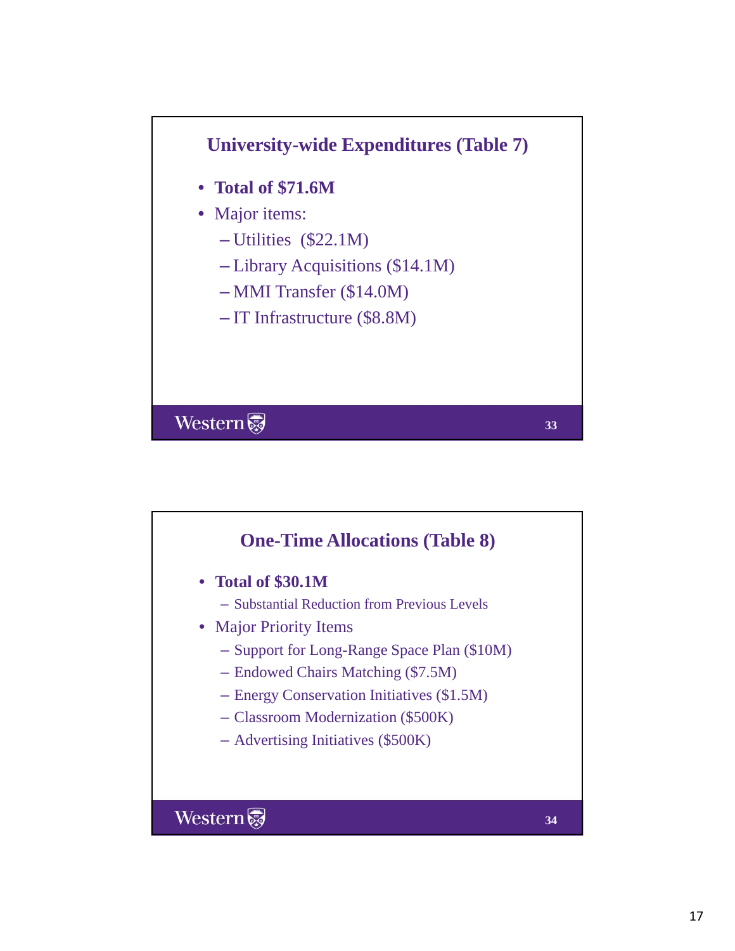

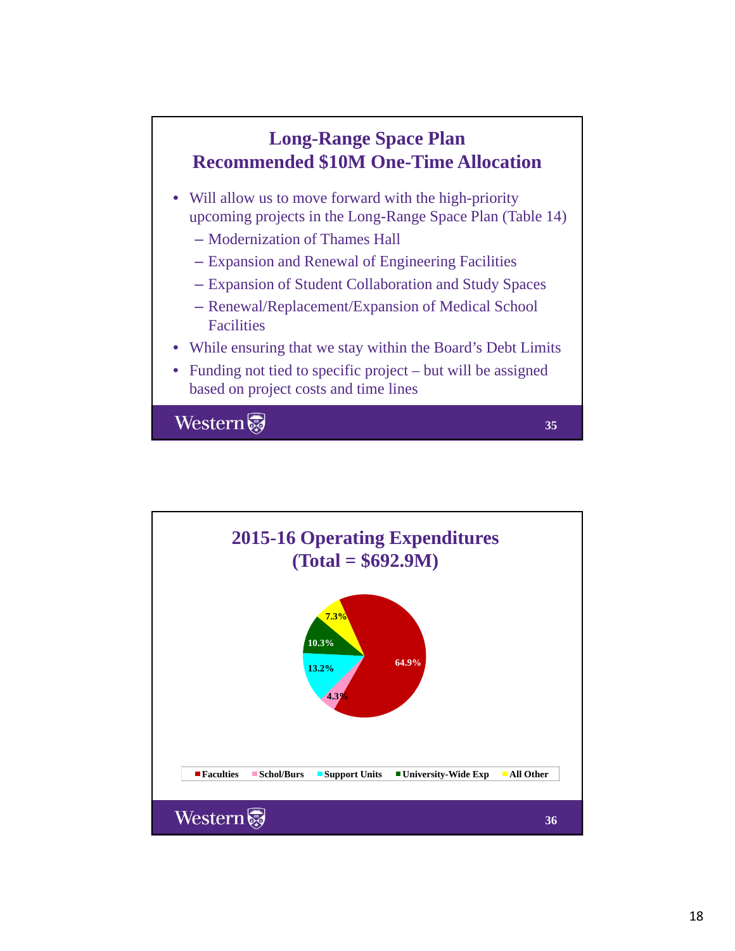

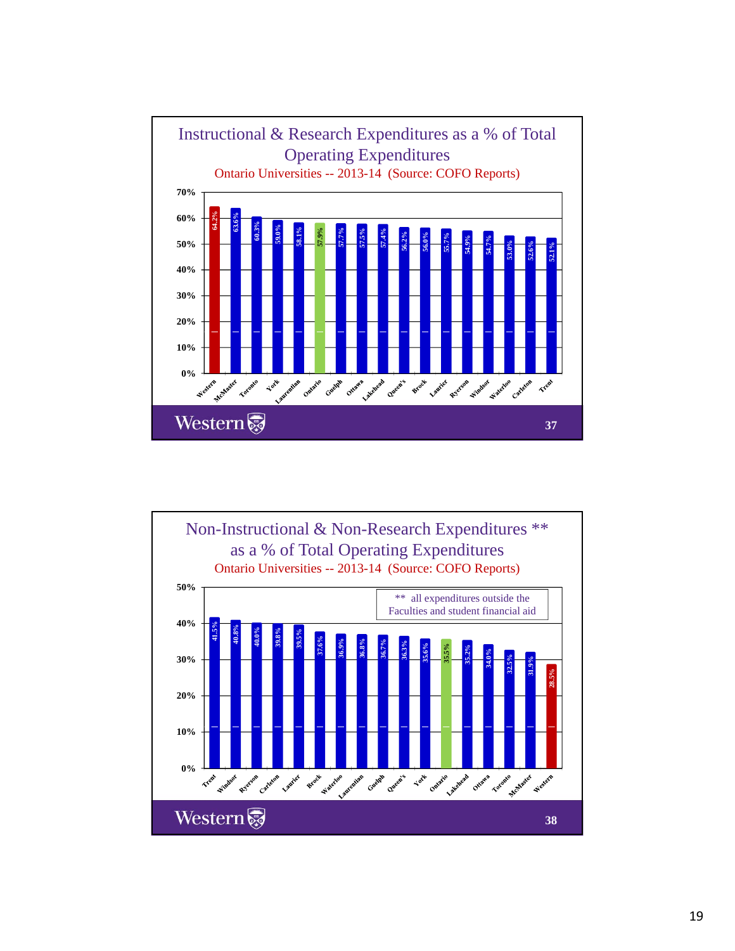

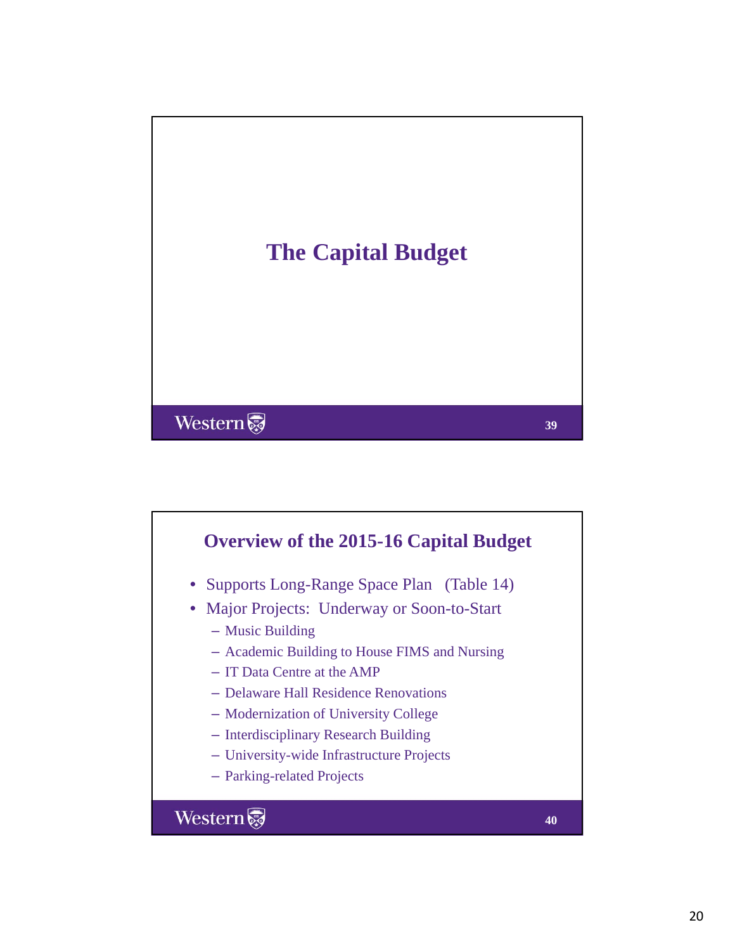

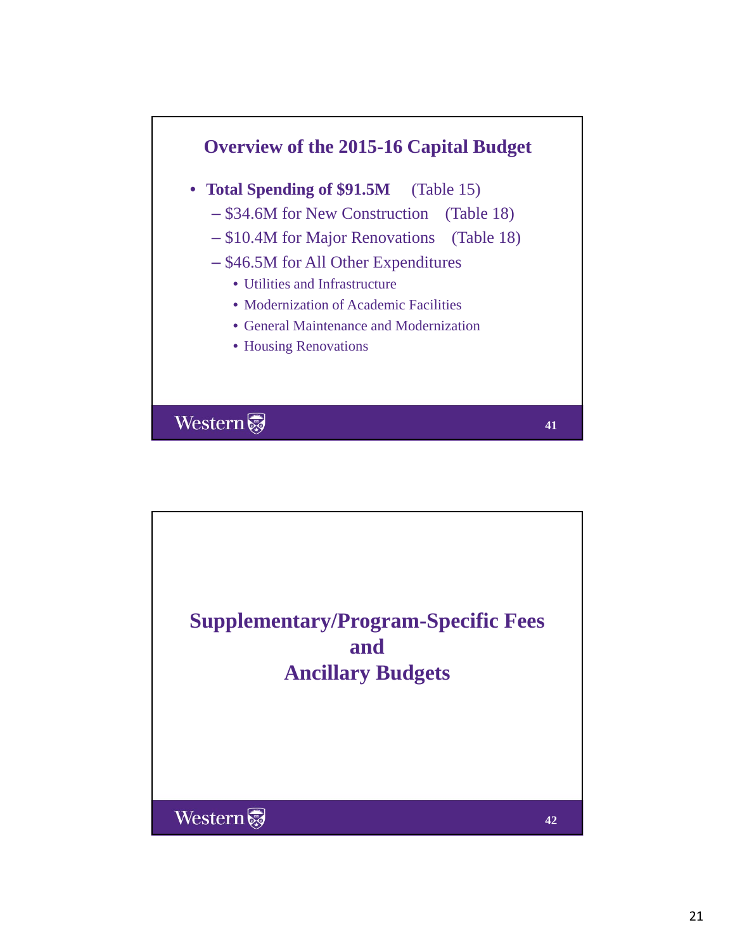

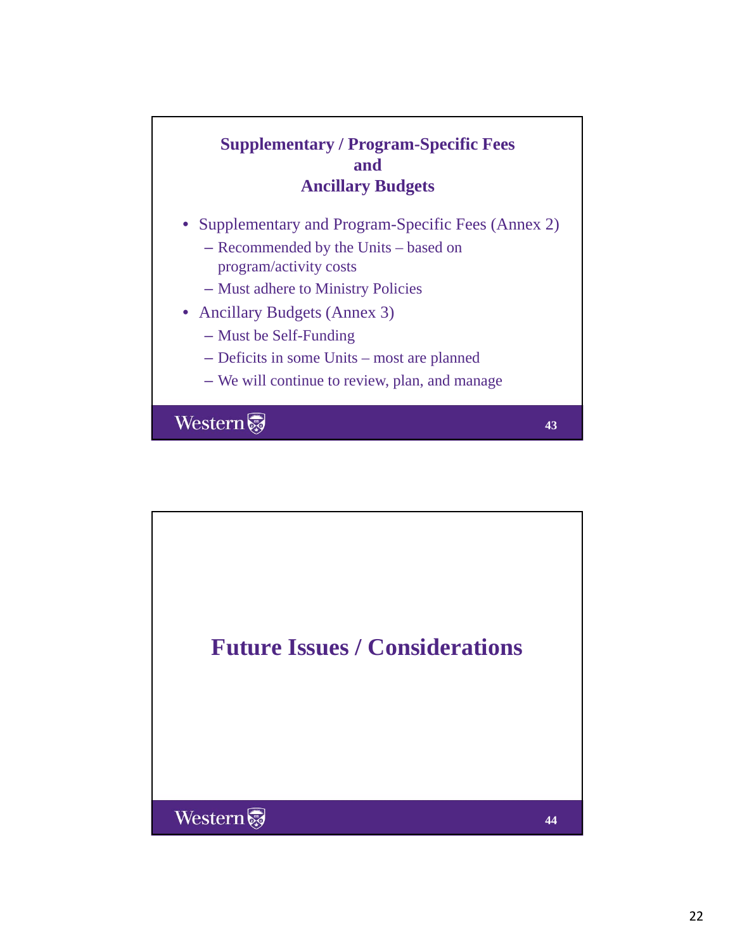# **Supplementary / Program-Specific Fees and Ancillary Budgets**

- Supplementary and Program-Specific Fees (Annex 2)
	- Recommended by the Units based on program/activity costs
	- Must adhere to Ministry Policies
- Ancillary Budgets (Annex 3)
	- $-$  Must be Self-Funding
	- Deficits in some Units most are planned
	- We will continue to review, plan, and manage

**43**

Western

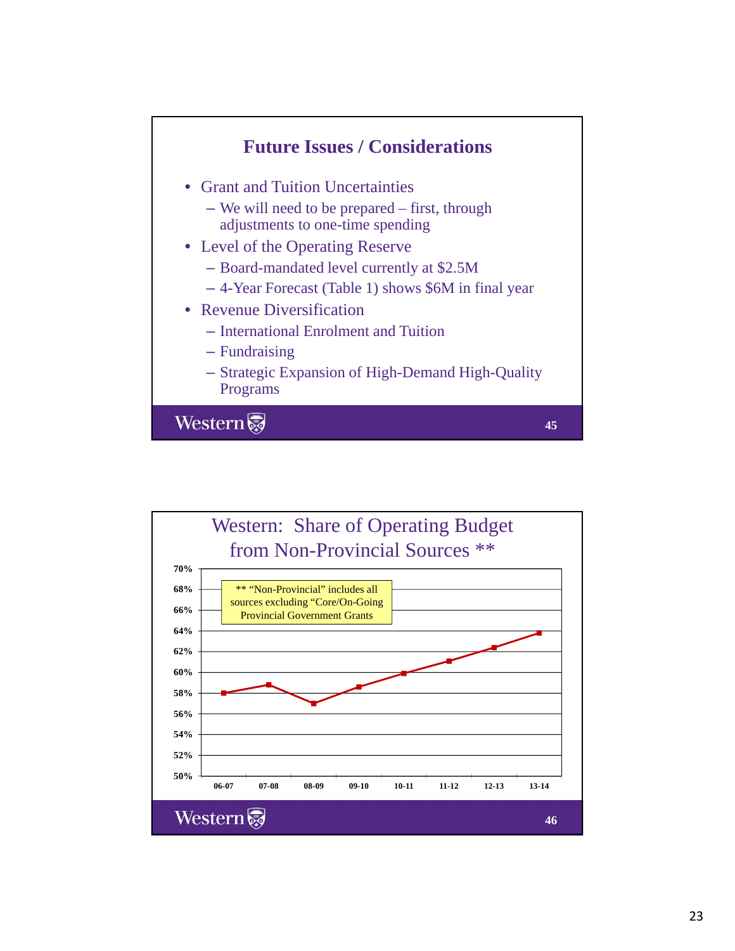